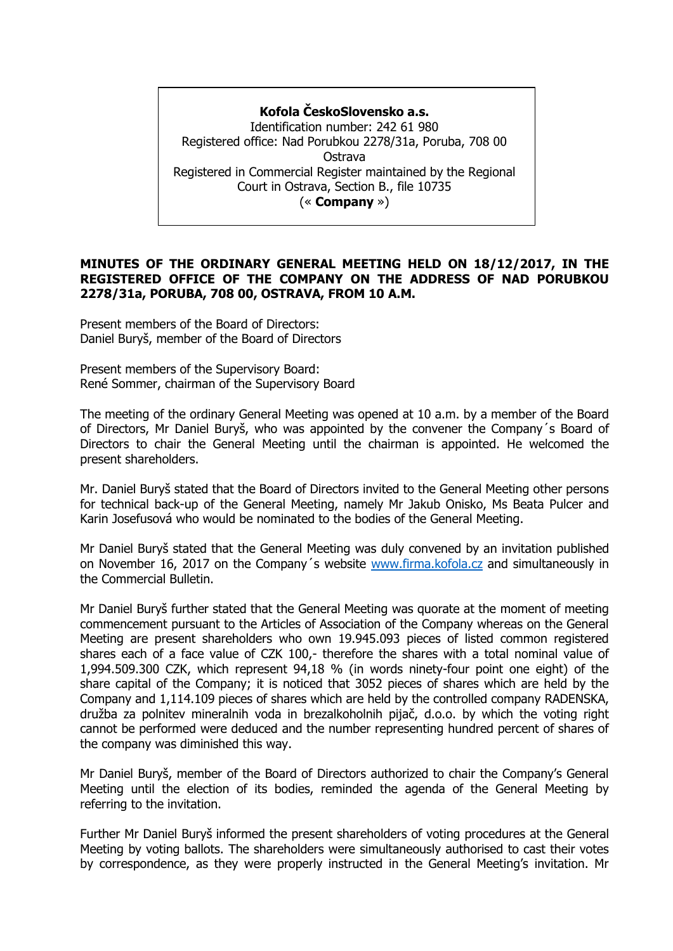# **Kofola ČeskoSlovensko a.s.**

Identification number: 242 61 980 Registered office: Nad Porubkou 2278/31a, Poruba, 708 00 Ostrava Registered in Commercial Register maintained by the Regional Court in Ostrava, Section B., file 10735 (« **Company** »)

## **MINUTES OF THE ORDINARY GENERAL MEETING HELD ON 18/12/2017, IN THE REGISTERED OFFICE OF THE COMPANY ON THE ADDRESS OF NAD PORUBKOU 2278/31a, PORUBA, 708 00, OSTRAVA, FROM 10 A.M.**

Present members of the Board of Directors: Daniel Buryš, member of the Board of Directors

Present members of the Supervisory Board: René Sommer, chairman of the Supervisory Board

The meeting of the ordinary General Meeting was opened at 10 a.m. by a member of the Board of Directors, Mr Daniel Buryš, who was appointed by the convener the Company´s Board of Directors to chair the General Meeting until the chairman is appointed. He welcomed the present shareholders.

Mr. Daniel Buryš stated that the Board of Directors invited to the General Meeting other persons for technical back-up of the General Meeting, namely Mr Jakub Onisko, Ms Beata Pulcer and Karin Josefusová who would be nominated to the bodies of the General Meeting.

Mr Daniel Buryš stated that the General Meeting was duly convened by an invitation published on November 16, 2017 on the Company´s website [www.firma.kofola.cz](http://www.firma.kofola.cz/) and simultaneously in the Commercial Bulletin.

Mr Daniel Buryš further stated that the General Meeting was quorate at the moment of meeting commencement pursuant to the Articles of Association of the Company whereas on the General Meeting are present shareholders who own 19.945.093 pieces of listed common registered shares each of a face value of CZK 100,- therefore the shares with a total nominal value of 1,994.509.300 CZK, which represent 94,18 % (in words ninety-four point one eight) of the share capital of the Company; it is noticed that 3052 pieces of shares which are held by the Company and 1,114.109 pieces of shares which are held by the controlled company RADENSKA, družba za polnitev mineralnih voda in brezalkoholnih pijač, d.o.o. by which the voting right cannot be performed were deduced and the number representing hundred percent of shares of the company was diminished this way.

Mr Daniel Buryš, member of the Board of Directors authorized to chair the Company's General Meeting until the election of its bodies, reminded the agenda of the General Meeting by referring to the invitation.

Further Mr Daniel Buryš informed the present shareholders of voting procedures at the General Meeting by voting ballots. The shareholders were simultaneously authorised to cast their votes by correspondence, as they were properly instructed in the General Meeting's invitation. Mr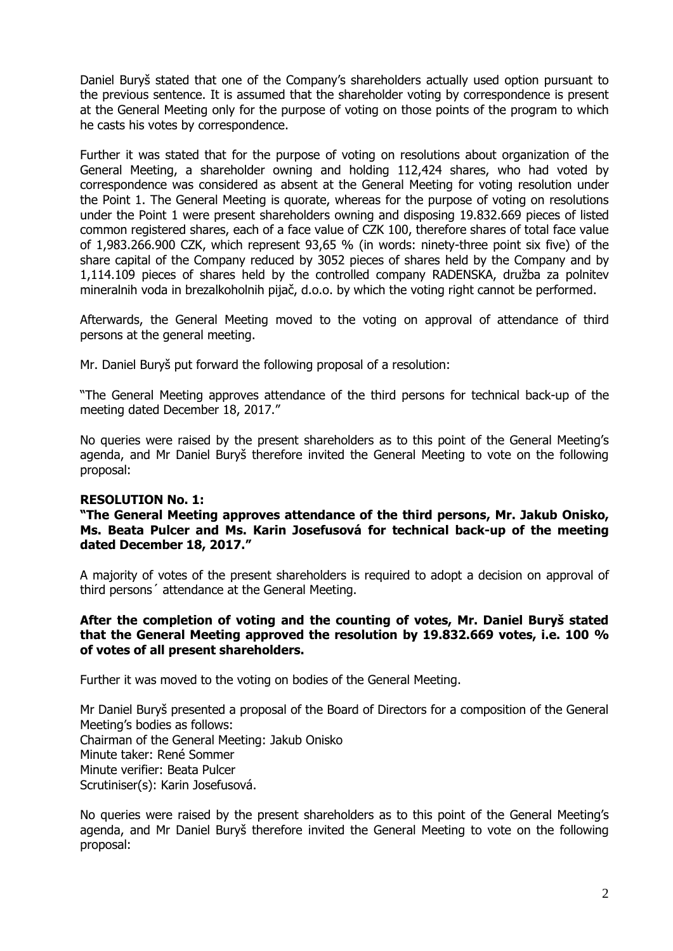Daniel Buryš stated that one of the Company's shareholders actually used option pursuant to the previous sentence. It is assumed that the shareholder voting by correspondence is present at the General Meeting only for the purpose of voting on those points of the program to which he casts his votes by correspondence.

Further it was stated that for the purpose of voting on resolutions about organization of the General Meeting, a shareholder owning and holding 112,424 shares, who had voted by correspondence was considered as absent at the General Meeting for voting resolution under the Point 1. The General Meeting is quorate, whereas for the purpose of voting on resolutions under the Point 1 were present shareholders owning and disposing 19.832.669 pieces of listed common registered shares, each of a face value of CZK 100, therefore shares of total face value of 1,983.266.900 CZK, which represent 93,65 % (in words: ninety-three point six five) of the share capital of the Company reduced by 3052 pieces of shares held by the Company and by 1,114.109 pieces of shares held by the controlled company RADENSKA, družba za polnitev mineralnih voda in brezalkoholnih pijač, d.o.o. by which the voting right cannot be performed.

Afterwards, the General Meeting moved to the voting on approval of attendance of third persons at the general meeting.

Mr. Daniel Buryš put forward the following proposal of a resolution:

"The General Meeting approves attendance of the third persons for technical back-up of the meeting dated December 18, 2017."

No queries were raised by the present shareholders as to this point of the General Meeting's agenda, and Mr Daniel Buryš therefore invited the General Meeting to vote on the following proposal:

## **RESOLUTION No. 1:**

## **"The General Meeting approves attendance of the third persons, Mr. Jakub Onisko, Ms. Beata Pulcer and Ms. Karin Josefusová for technical back-up of the meeting dated December 18, 2017."**

A majority of votes of the present shareholders is required to adopt a decision on approval of third persons´ attendance at the General Meeting.

## **After the completion of voting and the counting of votes, Mr. Daniel Buryš stated that the General Meeting approved the resolution by 19.832.669 votes, i.e. 100 % of votes of all present shareholders.**

Further it was moved to the voting on bodies of the General Meeting.

Mr Daniel Buryš presented a proposal of the Board of Directors for a composition of the General Meeting's bodies as follows: Chairman of the General Meeting: Jakub Onisko Minute taker: René Sommer Minute verifier: Beata Pulcer Scrutiniser(s): Karin Josefusová.

No queries were raised by the present shareholders as to this point of the General Meeting's agenda, and Mr Daniel Buryš therefore invited the General Meeting to vote on the following proposal: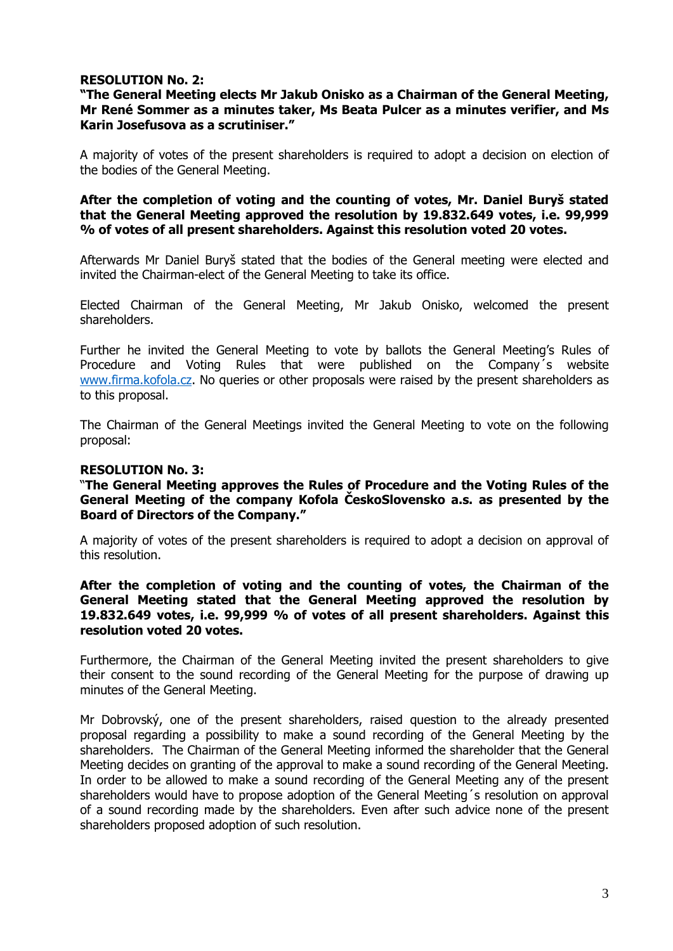# **RESOLUTION No. 2:**

## **"The General Meeting elects Mr Jakub Onisko as a Chairman of the General Meeting, Mr René Sommer as a minutes taker, Ms Beata Pulcer as a minutes verifier, and Ms Karin Josefusova as a scrutiniser."**

A majority of votes of the present shareholders is required to adopt a decision on election of the bodies of the General Meeting.

**After the completion of voting and the counting of votes, Mr. Daniel Buryš stated that the General Meeting approved the resolution by 19.832.649 votes, i.e. 99,999 % of votes of all present shareholders. Against this resolution voted 20 votes.** 

Afterwards Mr Daniel Buryš stated that the bodies of the General meeting were elected and invited the Chairman-elect of the General Meeting to take its office.

Elected Chairman of the General Meeting, Mr Jakub Onisko, welcomed the present shareholders.

Further he invited the General Meeting to vote by ballots the General Meeting's Rules of Procedure and Voting Rules that were published on the Company´s website [www.firma.kofola.cz.](http://www.firma.kofola.cz/) No queries or other proposals were raised by the present shareholders as to this proposal.

The Chairman of the General Meetings invited the General Meeting to vote on the following proposal:

## **RESOLUTION No. 3:**

"**The General Meeting approves the Rules of Procedure and the Voting Rules of the General Meeting of the company Kofola ČeskoSlovensko a.s. as presented by the Board of Directors of the Company."**

A majority of votes of the present shareholders is required to adopt a decision on approval of this resolution.

## **After the completion of voting and the counting of votes, the Chairman of the General Meeting stated that the General Meeting approved the resolution by 19.832.649 votes, i.e. 99,999 % of votes of all present shareholders. Against this resolution voted 20 votes.**

Furthermore, the Chairman of the General Meeting invited the present shareholders to give their consent to the sound recording of the General Meeting for the purpose of drawing up minutes of the General Meeting.

Mr Dobrovský, one of the present shareholders, raised question to the already presented proposal regarding a possibility to make a sound recording of the General Meeting by the shareholders. The Chairman of the General Meeting informed the shareholder that the General Meeting decides on granting of the approval to make a sound recording of the General Meeting. In order to be allowed to make a sound recording of the General Meeting any of the present shareholders would have to propose adoption of the General Meeting´s resolution on approval of a sound recording made by the shareholders. Even after such advice none of the present shareholders proposed adoption of such resolution.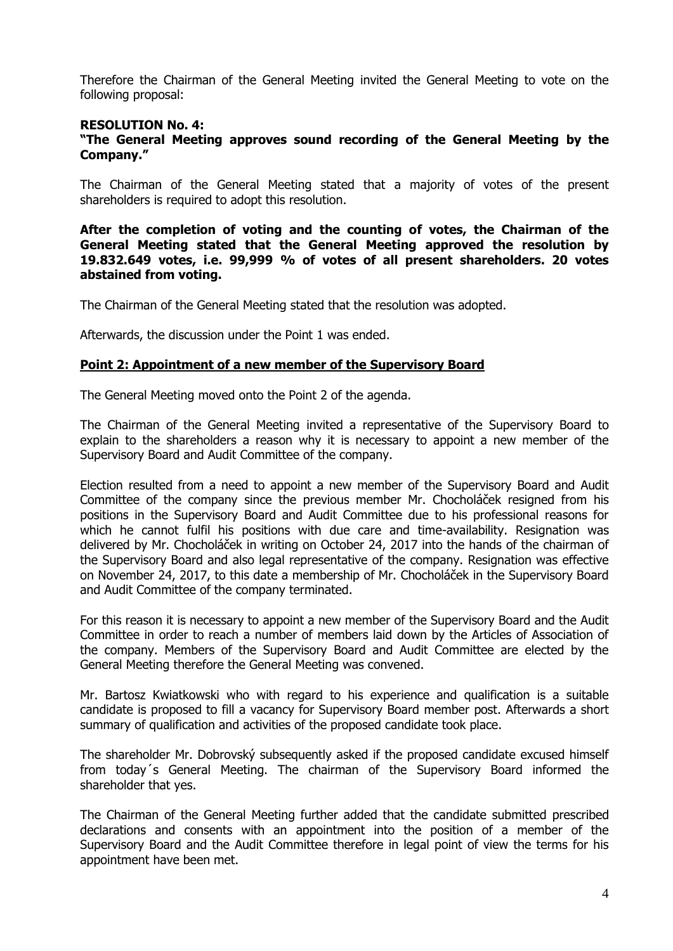Therefore the Chairman of the General Meeting invited the General Meeting to vote on the following proposal:

#### **RESOLUTION No. 4:**

#### **"The General Meeting approves sound recording of the General Meeting by the Company."**

The Chairman of the General Meeting stated that a majority of votes of the present shareholders is required to adopt this resolution.

**After the completion of voting and the counting of votes, the Chairman of the General Meeting stated that the General Meeting approved the resolution by 19.832.649 votes, i.e. 99,999 % of votes of all present shareholders. 20 votes abstained from voting.** 

The Chairman of the General Meeting stated that the resolution was adopted.

Afterwards, the discussion under the Point 1 was ended.

## **Point 2: Appointment of a new member of the Supervisory Board**

The General Meeting moved onto the Point 2 of the agenda.

The Chairman of the General Meeting invited a representative of the Supervisory Board to explain to the shareholders a reason why it is necessary to appoint a new member of the Supervisory Board and Audit Committee of the company.

Election resulted from a need to appoint a new member of the Supervisory Board and Audit Committee of the company since the previous member Mr. Chocholáček resigned from his positions in the Supervisory Board and Audit Committee due to his professional reasons for which he cannot fulfil his positions with due care and time-availability. Resignation was delivered by Mr. Chocholáček in writing on October 24, 2017 into the hands of the chairman of the Supervisory Board and also legal representative of the company. Resignation was effective on November 24, 2017, to this date a membership of Mr. Chocholáček in the Supervisory Board and Audit Committee of the company terminated.

For this reason it is necessary to appoint a new member of the Supervisory Board and the Audit Committee in order to reach a number of members laid down by the Articles of Association of the company. Members of the Supervisory Board and Audit Committee are elected by the General Meeting therefore the General Meeting was convened.

Mr. Bartosz Kwiatkowski who with regard to his experience and qualification is a suitable candidate is proposed to fill a vacancy for Supervisory Board member post. Afterwards a short summary of qualification and activities of the proposed candidate took place.

The shareholder Mr. Dobrovský subsequently asked if the proposed candidate excused himself from today´s General Meeting. The chairman of the Supervisory Board informed the shareholder that yes.

The Chairman of the General Meeting further added that the candidate submitted prescribed declarations and consents with an appointment into the position of a member of the Supervisory Board and the Audit Committee therefore in legal point of view the terms for his appointment have been met.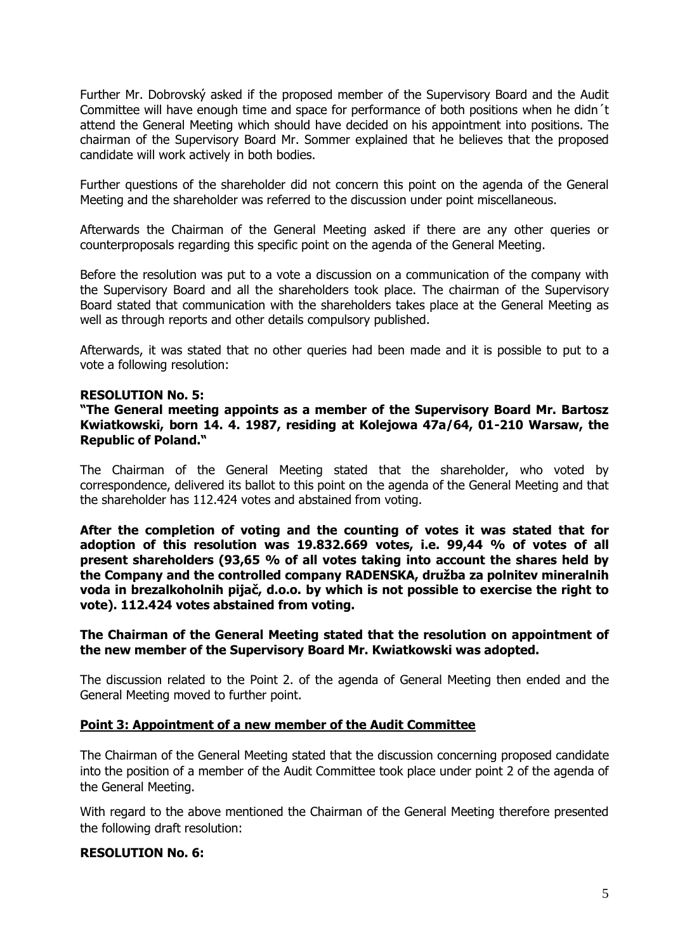Further Mr. Dobrovský asked if the proposed member of the Supervisory Board and the Audit Committee will have enough time and space for performance of both positions when he didn´t attend the General Meeting which should have decided on his appointment into positions. The chairman of the Supervisory Board Mr. Sommer explained that he believes that the proposed candidate will work actively in both bodies.

Further questions of the shareholder did not concern this point on the agenda of the General Meeting and the shareholder was referred to the discussion under point miscellaneous.

Afterwards the Chairman of the General Meeting asked if there are any other queries or counterproposals regarding this specific point on the agenda of the General Meeting.

Before the resolution was put to a vote a discussion on a communication of the company with the Supervisory Board and all the shareholders took place. The chairman of the Supervisory Board stated that communication with the shareholders takes place at the General Meeting as well as through reports and other details compulsory published.

Afterwards, it was stated that no other queries had been made and it is possible to put to a vote a following resolution:

## **RESOLUTION No. 5:**

**"The General meeting appoints as a member of the Supervisory Board Mr. Bartosz Kwiatkowski, born 14. 4. 1987, residing at Kolejowa 47a/64, 01-210 Warsaw, the Republic of Poland."**

The Chairman of the General Meeting stated that the shareholder, who voted by correspondence, delivered its ballot to this point on the agenda of the General Meeting and that the shareholder has 112.424 votes and abstained from voting.

**After the completion of voting and the counting of votes it was stated that for adoption of this resolution was 19.832.669 votes, i.e. 99,44 % of votes of all present shareholders (93,65 % of all votes taking into account the shares held by the Company and the controlled company RADENSKA, družba za polnitev mineralnih voda in brezalkoholnih pijač, d.o.o. by which is not possible to exercise the right to vote). 112.424 votes abstained from voting.** 

# **The Chairman of the General Meeting stated that the resolution on appointment of the new member of the Supervisory Board Mr. Kwiatkowski was adopted.**

The discussion related to the Point 2. of the agenda of General Meeting then ended and the General Meeting moved to further point.

## **Point 3: Appointment of a new member of the Audit Committee**

The Chairman of the General Meeting stated that the discussion concerning proposed candidate into the position of a member of the Audit Committee took place under point 2 of the agenda of the General Meeting.

With regard to the above mentioned the Chairman of the General Meeting therefore presented the following draft resolution:

## **RESOLUTION No. 6:**